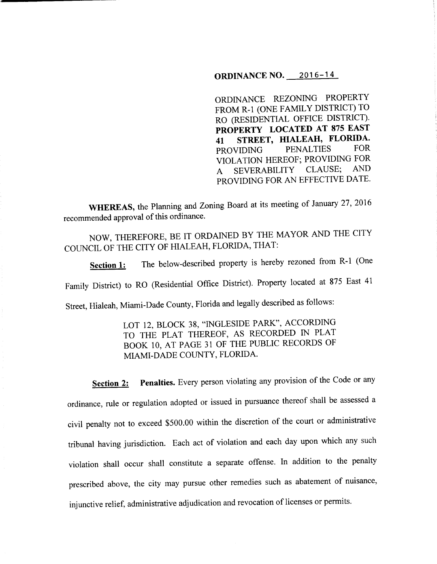## **ORDINANCE NO. 2016-14**

ORDINANCE REZONING PROPERTY FROM R-1 (ONE FAMILY DISTRICT) TO RO (RESIDENTIAL OFFICE DISTRICT). **PROPERTY LOCATED AT 875 EAST <sup>41</sup>STREET, HIALEAH, FLORIDA.**  PROVIDING PENALTIES FOR VIOLATION HEREOF; PROVIDING FOR A SEVERABILITY CLAUSE; AND PROVIDING FOR AN EFFECTIVE DATE.

**WHEREAS,** the Planning and Zoning Board at its meeting of January 27, 2016 recommended approval of this ordinance.

NOW, THEREFORE, BE IT ORDAINED BY THE MAYOR AND THE CITY COUNCIL OF THE CITY OF HIALEAH, FLORIDA, THAT:

**Section 1:** The below-described property is hereby rezoned from R-1 (One Family District) to RO (Residential Office District). Property located at 875 East <sup>41</sup> Street, Hialeah, Miami-Dade County, Florida and legally described as follows:

> LOT 12, BLOCK 38, "INGLESIDE PARK", ACCORDING TO THE PLAT THEREOF, AS RECORDED IN PLAT BOOK 10, AT PAGE 31 OF THE PUBLIC RECORDS OF MIAMI-DADE COUNTY, FLORIDA.

**Section 2:** Penalties. Every person violating any provision of the Code or any ordinance, rule or regulation adopted or issued in pursuance thereof shall be assessed a civil penalty not to exceed \$500.00 within the discretion of the court or administrative tribunal having jurisdiction. Each act of violation and each day upon which any such violation shall occur shall constitute a separate offense. In addition to the penalty prescribed above, the city may pursue other remedies such as abatement of nuisance, injunctive relief, administrative adjudication and revocation of licenses or permits.